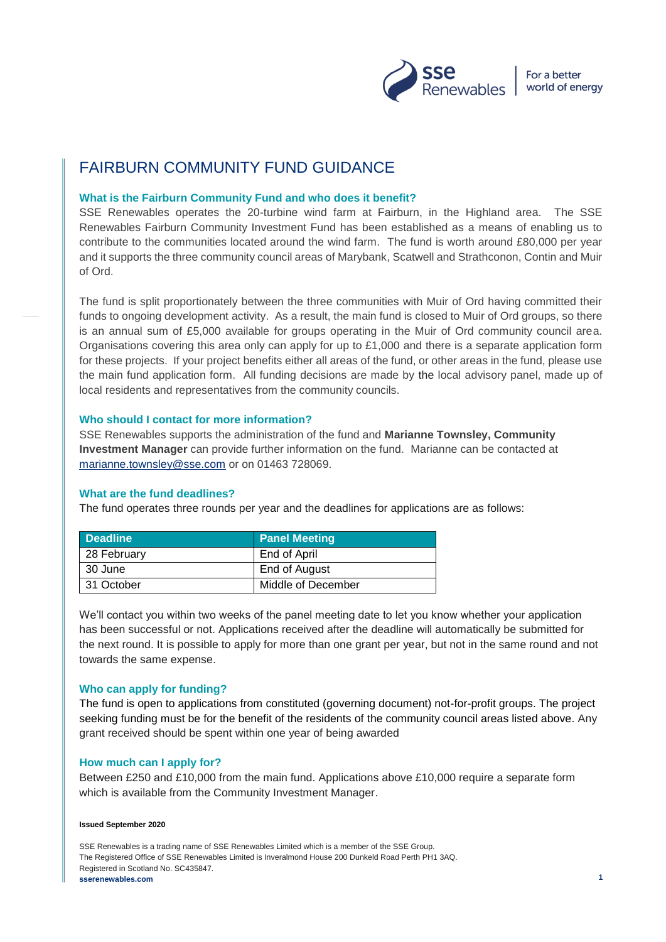

# FAIRBURN COMMUNITY FUND GUIDANCE

#### **What is the Fairburn Community Fund and who does it benefit?**

SSE Renewables operates the 20-turbine wind farm at Fairburn, in the Highland area. The SSE Renewables Fairburn Community Investment Fund has been established as a means of enabling us to contribute to the communities located around the wind farm. The fund is worth around £80,000 per year and it supports the three community council areas of Marybank, Scatwell and Strathconon, Contin and Muir of Ord.

The fund is split proportionately between the three communities with Muir of Ord having committed their funds to ongoing development activity. As a result, the main fund is closed to Muir of Ord groups, so there is an annual sum of £5,000 available for groups operating in the Muir of Ord community council area. Organisations covering this area only can apply for up to £1,000 and there is a separate application form for these projects. If your project benefits either all areas of the fund, or other areas in the fund, please use the main fund application form. All funding decisions are made by the local advisory panel, made up of local residents and representatives from the community councils.

## **Who should I contact for more information?**

SSE Renewables supports the administration of the fund and **Marianne Townsley, Community Investment Manager** can provide further information on the fund. Marianne can be contacted at [marianne.townsley@sse.com](mailto:marianne.townsley@sse.com) or on 01463 728069.

#### **What are the fund deadlines?**

The fund operates three rounds per year and the deadlines for applications are as follows:

| <b>Deadline</b> | <b>Panel Meeting</b> |
|-----------------|----------------------|
| 28 February     | End of April         |
| 30 June         | End of August        |
| 31 October      | Middle of December   |

We'll contact you within two weeks of the panel meeting date to let you know whether your application has been successful or not. Applications received after the deadline will automatically be submitted for the next round. It is possible to apply for more than one grant per year, but not in the same round and not towards the same expense.

# **Who can apply for funding?**

The fund is open to applications from constituted (governing document) not-for-profit groups. The project seeking funding must be for the benefit of the residents of the community council areas listed above. Any grant received should be spent within one year of being awarded

# **How much can I apply for?**

Between £250 and £10,000 from the main fund. Applications above £10,000 require a separate form which is available from the Community Investment Manager.

#### **Issued September 2020**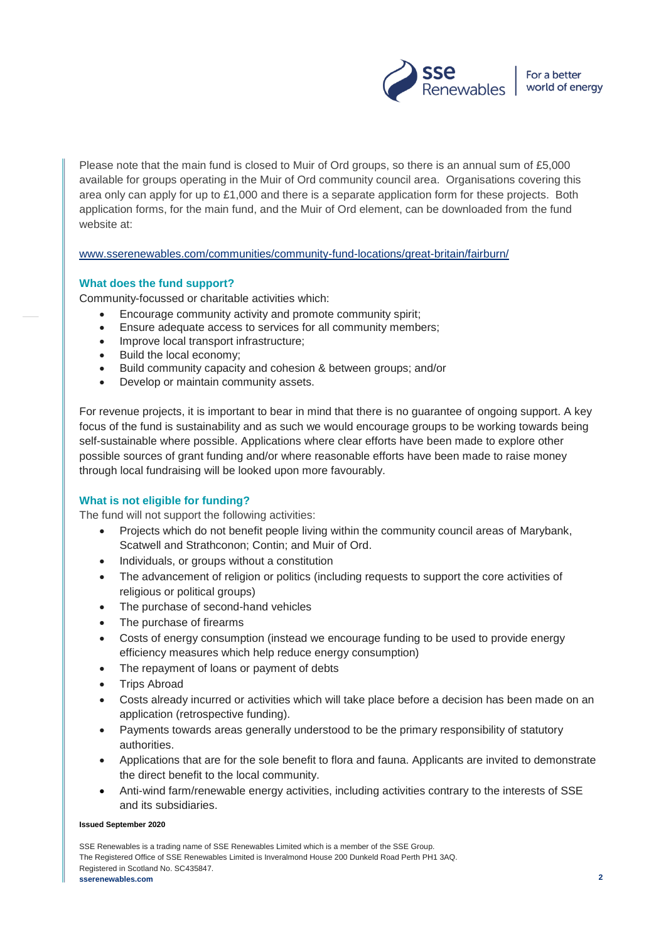

Please note that the main fund is closed to Muir of Ord groups, so there is an annual sum of £5,000 available for groups operating in the Muir of Ord community council area. Organisations covering this area only can apply for up to £1,000 and there is a separate application form for these projects. Both application forms, for the main fund, and the Muir of Ord element, can be downloaded from the fund website at:

[www.sserenewables.com/communities/community-fund-locations/great-britain/fairburn/](http://www.sserenewables.com/communities/community-fund-locations/great-britain/fairburn/)

## **What does the fund support?**

Community-focussed or charitable activities which:

- Encourage community activity and promote community spirit;
- Ensure adequate access to services for all community members;
- Improve local transport infrastructure;
- Build the local economy;
- Build community capacity and cohesion & between groups; and/or
- Develop or maintain community assets.

For revenue projects, it is important to bear in mind that there is no guarantee of ongoing support. A key focus of the fund is sustainability and as such we would encourage groups to be working towards being self-sustainable where possible. Applications where clear efforts have been made to explore other possible sources of grant funding and/or where reasonable efforts have been made to raise money through local fundraising will be looked upon more favourably.

# **What is not eligible for funding?**

The fund will not support the following activities:

- Projects which do not benefit people living within the community council areas of Marybank, Scatwell and Strathconon; Contin; and Muir of Ord.
- Individuals, or groups without a constitution
- The advancement of religion or politics (including requests to support the core activities of religious or political groups)
- The purchase of second-hand vehicles
- The purchase of firearms
- Costs of energy consumption (instead we encourage funding to be used to provide energy efficiency measures which help reduce energy consumption)
- The repayment of loans or payment of debts
- Trips Abroad
- Costs already incurred or activities which will take place before a decision has been made on an application (retrospective funding).
- Payments towards areas generally understood to be the primary responsibility of statutory authorities.
- Applications that are for the sole benefit to flora and fauna. Applicants are invited to demonstrate the direct benefit to the local community.
- Anti-wind farm/renewable energy activities, including activities contrary to the interests of SSE and its subsidiaries.

#### **Issued September 2020**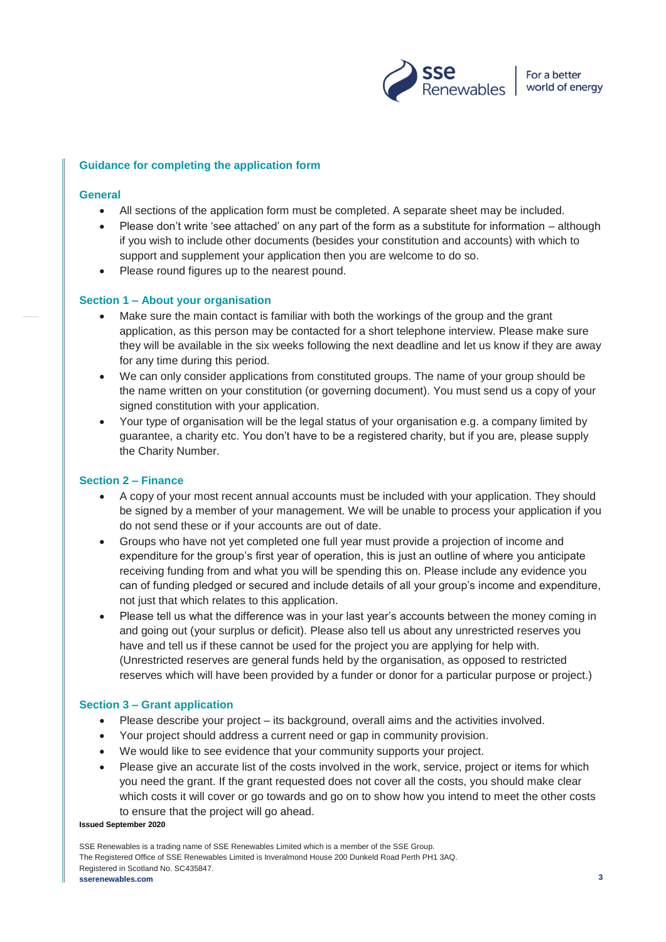

## **Guidance for completing the application form**

#### **General**

- All sections of the application form must be completed. A separate sheet may be included.
- Please don't write 'see attached' on any part of the form as a substitute for information although if you wish to include other documents (besides your constitution and accounts) with which to support and supplement your application then you are welcome to do so.
- Please round figures up to the nearest pound.

#### **Section 1 – About your organisation**

- Make sure the main contact is familiar with both the workings of the group and the grant application, as this person may be contacted for a short telephone interview. Please make sure they will be available in the six weeks following the next deadline and let us know if they are away for any time during this period.
- We can only consider applications from constituted groups. The name of your group should be the name written on your constitution (or governing document). You must send us a copy of your signed constitution with your application.
- Your type of organisation will be the legal status of your organisation e.g. a company limited by guarantee, a charity etc. You don't have to be a registered charity, but if you are, please supply the Charity Number.

#### **Section 2 – Finance**

- A copy of your most recent annual accounts must be included with your application. They should be signed by a member of your management. We will be unable to process your application if you do not send these or if your accounts are out of date.
- Groups who have not yet completed one full year must provide a projection of income and expenditure for the group's first year of operation, this is just an outline of where you anticipate receiving funding from and what you will be spending this on. Please include any evidence you can of funding pledged or secured and include details of all your group's income and expenditure, not just that which relates to this application.
- Please tell us what the difference was in your last year's accounts between the money coming in and going out (your surplus or deficit). Please also tell us about any unrestricted reserves you have and tell us if these cannot be used for the project you are applying for help with. (Unrestricted reserves are general funds held by the organisation, as opposed to restricted reserves which will have been provided by a funder or donor for a particular purpose or project.)

#### **Section 3 – Grant application**

- Please describe your project its background, overall aims and the activities involved.
- Your project should address a current need or gap in community provision.
- We would like to see evidence that your community supports your project.
- Please give an accurate list of the costs involved in the work, service, project or items for which you need the grant. If the grant requested does not cover all the costs, you should make clear which costs it will cover or go towards and go on to show how you intend to meet the other costs to ensure that the project will go ahead.

#### **Issued September 2020**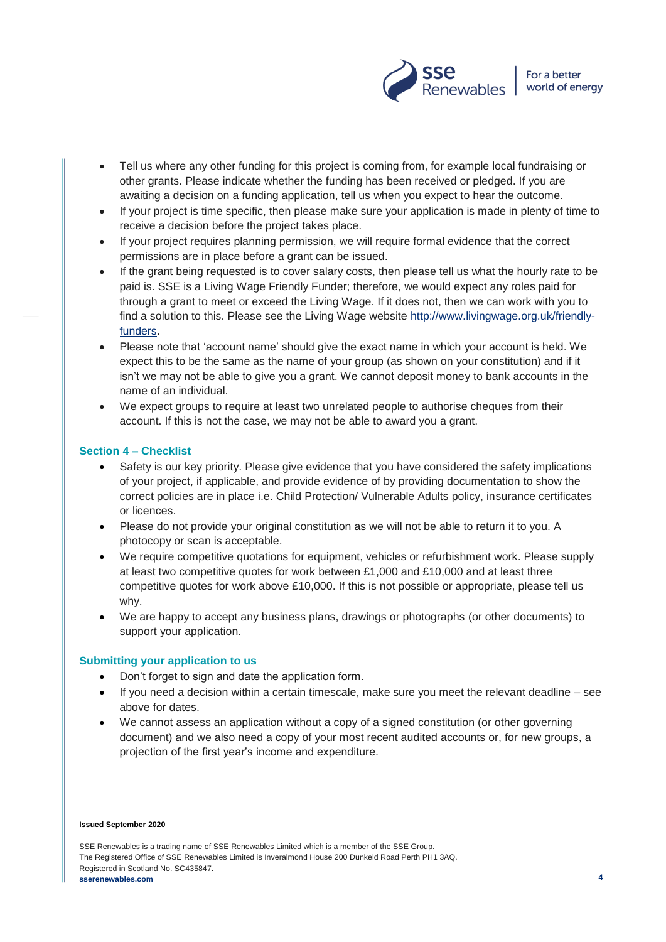

- Tell us where any other funding for this project is coming from, for example local fundraising or other grants. Please indicate whether the funding has been received or pledged. If you are awaiting a decision on a funding application, tell us when you expect to hear the outcome.
- If your project is time specific, then please make sure your application is made in plenty of time to receive a decision before the project takes place.
- If your project requires planning permission, we will require formal evidence that the correct permissions are in place before a grant can be issued.
- If the grant being requested is to cover salary costs, then please tell us what the hourly rate to be paid is. SSE is a Living Wage Friendly Funder; therefore, we would expect any roles paid for through a grant to meet or exceed the Living Wage. If it does not, then we can work with you to find a solution to this. Please see the Living Wage website [http://www.livingwage.org.uk/friendly](http://www.livingwage.org.uk/friendly-funders)[funders.](http://www.livingwage.org.uk/friendly-funders)
- Please note that 'account name' should give the exact name in which your account is held. We expect this to be the same as the name of your group (as shown on your constitution) and if it isn't we may not be able to give you a grant. We cannot deposit money to bank accounts in the name of an individual.
- We expect groups to require at least two unrelated people to authorise cheques from their account. If this is not the case, we may not be able to award you a grant.

## **Section 4 – Checklist**

- Safety is our key priority. Please give evidence that you have considered the safety implications of your project, if applicable, and provide evidence of by providing documentation to show the correct policies are in place i.e. Child Protection/ Vulnerable Adults policy, insurance certificates or licences.
- Please do not provide your original constitution as we will not be able to return it to you. A photocopy or scan is acceptable.
- We require competitive quotations for equipment, vehicles or refurbishment work. Please supply at least two competitive quotes for work between £1,000 and £10,000 and at least three competitive quotes for work above £10,000. If this is not possible or appropriate, please tell us why.
- We are happy to accept any business plans, drawings or photographs (or other documents) to support your application.

#### **Submitting your application to us**

- Don't forget to sign and date the application form.
- If you need a decision within a certain timescale, make sure you meet the relevant deadline see above for dates.
- We cannot assess an application without a copy of a signed constitution (or other governing document) and we also need a copy of your most recent audited accounts or, for new groups, a projection of the first year's income and expenditure.

#### **Issued September 2020**